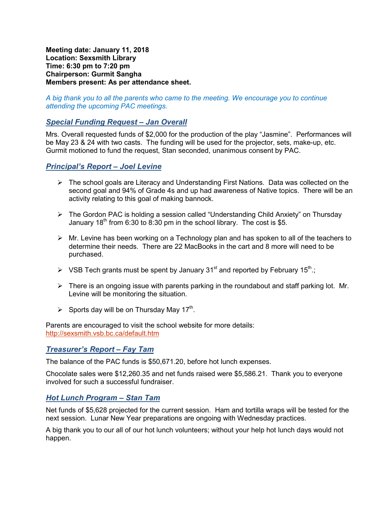**Meeting date: January 11, 2018 Location: Sexsmith Library Time: 6:30 pm to 7:20 pm Chairperson: Gurmit Sangha Members present: As per attendance sheet.** 

#### *A big thank you to all the parents who came to the meeting. We encourage you to continue attending the upcoming PAC meetings.*

### *Special Funding Request – Jan Overall*

Mrs. Overall requested funds of \$2,000 for the production of the play "Jasmine". Performances will be May 23 & 24 with two casts. The funding will be used for the projector, sets, make-up, etc. Gurmit motioned to fund the request, Stan seconded, unanimous consent by PAC.

### *Principal's Report – Joel Levine*

- $\triangleright$  The school goals are Literacy and Understanding First Nations. Data was collected on the second goal and 94% of Grade 4s and up had awareness of Native topics. There will be an activity relating to this goal of making bannock.
- The Gordon PAC is holding a session called "Understanding Child Anxiety" on Thursday January 18<sup>th</sup> from 6:30 to 8:30 pm in the school library. The cost is \$5.
- $\triangleright$  Mr. Levine has been working on a Technology plan and has spoken to all of the teachers to determine their needs. There are 22 MacBooks in the cart and 8 more will need to be purchased.
- $\triangleright$  VSB Tech grants must be spent by January 31<sup>st</sup> and reported by February 15<sup>th</sup>.;
- $\triangleright$  There is an ongoing issue with parents parking in the roundabout and staff parking lot. Mr. Levine will be monitoring the situation.
- Sports day will be on Thursday May  $17<sup>th</sup>$ .

Parents are encouraged to visit the school website for more details: http://sexsmith.vsb.bc.ca/default.htm

### *Treasurer's Report – Fay Tam*

The balance of the PAC funds is \$50,671.20, before hot lunch expenses.

Chocolate sales were \$12,260.35 and net funds raised were \$5,586.21. Thank you to everyone involved for such a successful fundraiser.

### *Hot Lunch Program – Stan Tam*

Net funds of \$5,628 projected for the current session. Ham and tortilla wraps will be tested for the next session. Lunar New Year preparations are ongoing with Wednesday practices.

A big thank you to our all of our hot lunch volunteers; without your help hot lunch days would not happen.